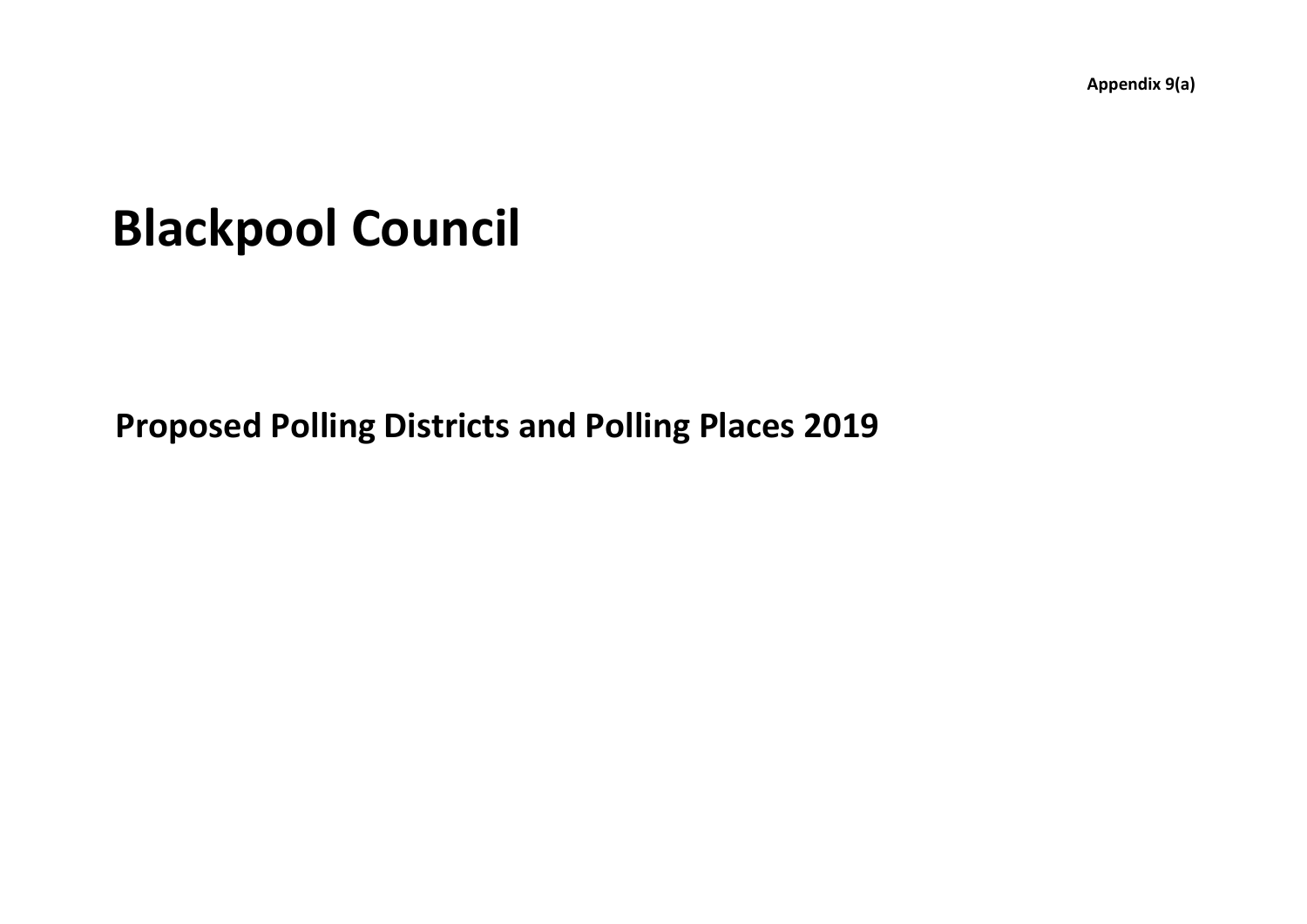**Appendix 9(a)**

## **Blackpool Council**

**Proposed Polling Districts and Polling Places 2019**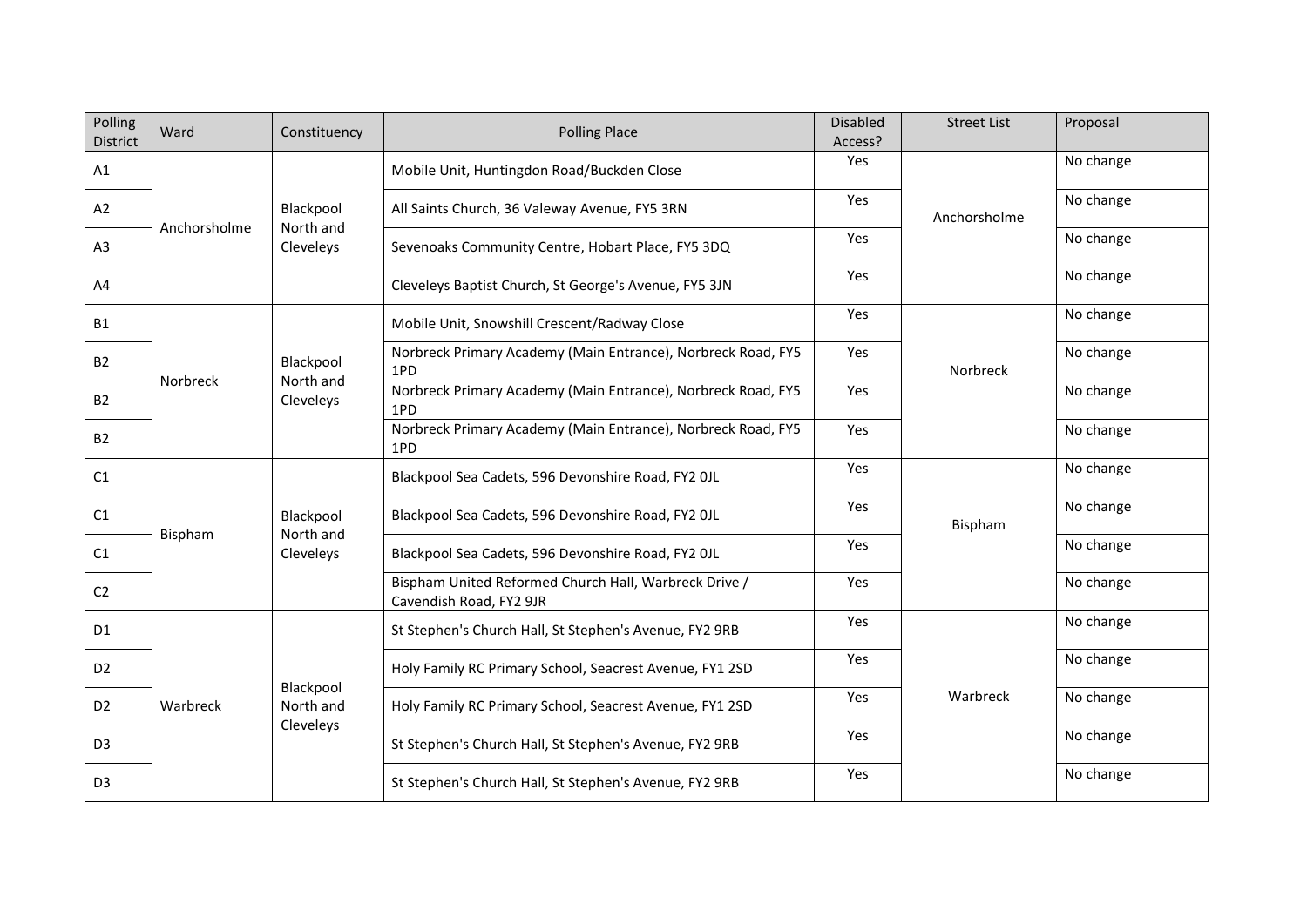| Polling<br>District | Ward         | Constituency                        | <b>Polling Place</b>                                                             | <b>Disabled</b><br>Access? | <b>Street List</b> | Proposal  |
|---------------------|--------------|-------------------------------------|----------------------------------------------------------------------------------|----------------------------|--------------------|-----------|
| A1                  |              | Blackpool<br>North and<br>Cleveleys | Mobile Unit, Huntingdon Road/Buckden Close                                       | Yes                        | Anchorsholme       | No change |
| A2                  | Anchorsholme |                                     | All Saints Church, 36 Valeway Avenue, FY5 3RN                                    | Yes                        |                    | No change |
| A <sub>3</sub>      |              |                                     | Sevenoaks Community Centre, Hobart Place, FY5 3DQ                                | Yes                        |                    | No change |
| A4                  |              |                                     | Cleveleys Baptist Church, St George's Avenue, FY5 3JN                            | Yes                        |                    | No change |
| <b>B1</b>           |              | Blackpool<br>North and<br>Cleveleys | Mobile Unit, Snowshill Crescent/Radway Close                                     | Yes                        | Norbreck           | No change |
| <b>B2</b>           |              |                                     | Norbreck Primary Academy (Main Entrance), Norbreck Road, FY5<br>1PD              | Yes                        |                    | No change |
| <b>B2</b>           | Norbreck     |                                     | Norbreck Primary Academy (Main Entrance), Norbreck Road, FY5<br>1PD              | Yes                        |                    | No change |
| <b>B2</b>           |              |                                     | Norbreck Primary Academy (Main Entrance), Norbreck Road, FY5<br>1PD              | Yes                        |                    | No change |
| C1                  |              | Blackpool<br>North and<br>Cleveleys | Blackpool Sea Cadets, 596 Devonshire Road, FY2 OJL                               | Yes                        | Bispham            | No change |
| C1                  |              |                                     | Blackpool Sea Cadets, 596 Devonshire Road, FY2 OJL                               | Yes                        |                    | No change |
| C1                  | Bispham      |                                     | Blackpool Sea Cadets, 596 Devonshire Road, FY2 OJL                               | Yes                        |                    | No change |
| C <sub>2</sub>      |              |                                     | Bispham United Reformed Church Hall, Warbreck Drive /<br>Cavendish Road, FY2 9JR | Yes                        |                    | No change |
| D1                  |              | Blackpool<br>North and<br>Cleveleys | St Stephen's Church Hall, St Stephen's Avenue, FY2 9RB                           | Yes                        | Warbreck           | No change |
| D <sub>2</sub>      |              |                                     | Holy Family RC Primary School, Seacrest Avenue, FY1 2SD                          | Yes                        |                    | No change |
| D <sub>2</sub>      | Warbreck     |                                     | Holy Family RC Primary School, Seacrest Avenue, FY1 2SD                          | Yes                        |                    | No change |
| D <sub>3</sub>      |              |                                     | St Stephen's Church Hall, St Stephen's Avenue, FY2 9RB                           | Yes                        |                    | No change |
| D <sub>3</sub>      |              |                                     | St Stephen's Church Hall, St Stephen's Avenue, FY2 9RB                           | Yes                        |                    | No change |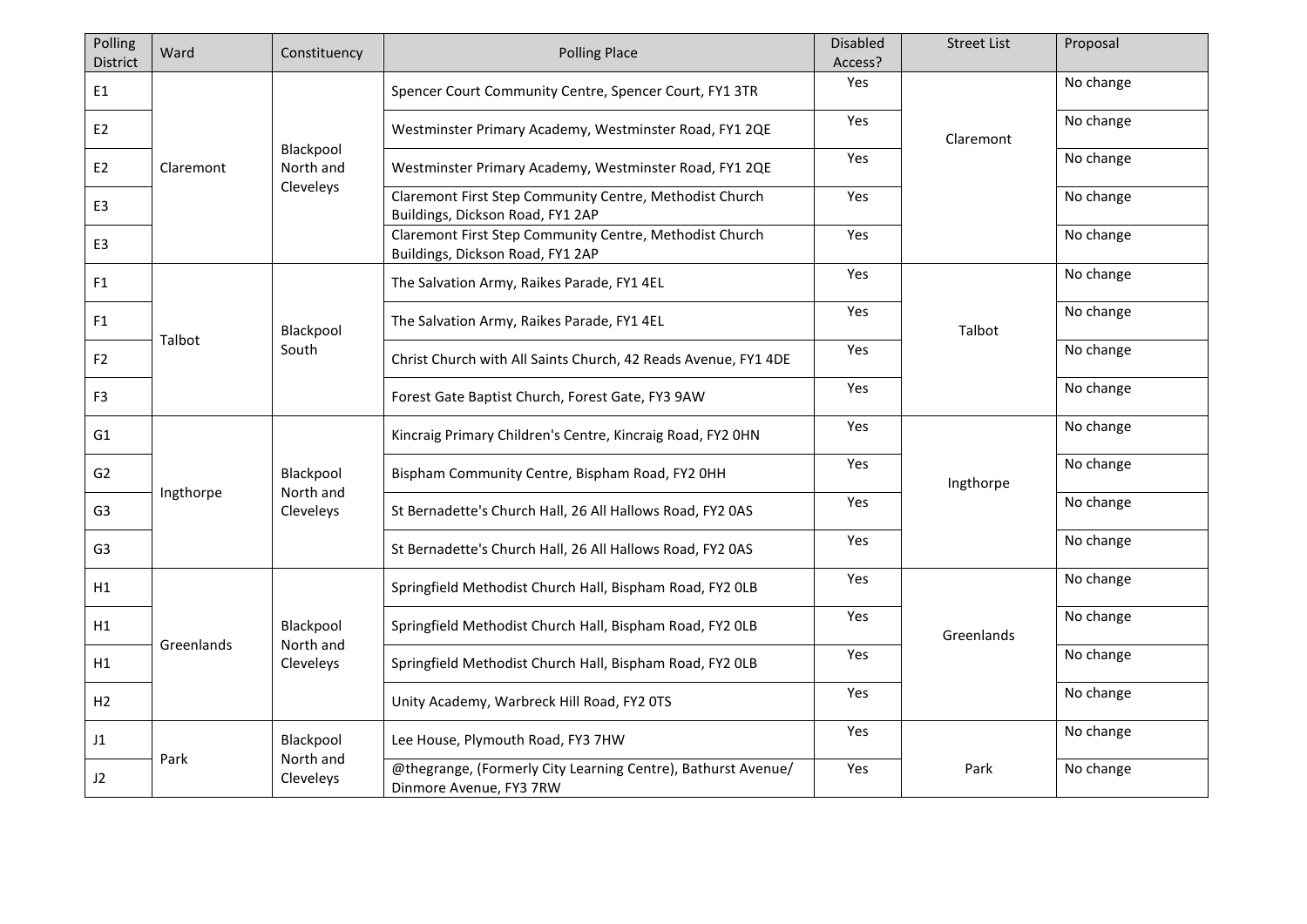| Polling<br><b>District</b> | Ward       | Constituency                        | <b>Polling Place</b>                                                                        | <b>Disabled</b><br>Access? | <b>Street List</b> | Proposal  |
|----------------------------|------------|-------------------------------------|---------------------------------------------------------------------------------------------|----------------------------|--------------------|-----------|
| E1                         |            |                                     | Spencer Court Community Centre, Spencer Court, FY1 3TR                                      | Yes                        |                    | No change |
| E <sub>2</sub>             |            |                                     | Westminster Primary Academy, Westminster Road, FY1 2QE                                      | Yes                        | Claremont          | No change |
| E <sub>2</sub>             | Claremont  | Blackpool<br>North and<br>Cleveleys | Westminster Primary Academy, Westminster Road, FY1 2QE                                      | Yes                        |                    | No change |
| E <sub>3</sub>             |            |                                     | Claremont First Step Community Centre, Methodist Church<br>Buildings, Dickson Road, FY1 2AP | Yes                        |                    | No change |
| E <sub>3</sub>             |            |                                     | Claremont First Step Community Centre, Methodist Church<br>Buildings, Dickson Road, FY1 2AP | <b>Yes</b>                 |                    | No change |
| F1                         |            | Blackpool<br>South                  | The Salvation Army, Raikes Parade, FY1 4EL                                                  | Yes                        | Talbot             | No change |
| F1                         |            |                                     | The Salvation Army, Raikes Parade, FY1 4EL                                                  | Yes                        |                    | No change |
| F <sub>2</sub>             | Talbot     |                                     | Christ Church with All Saints Church, 42 Reads Avenue, FY1 4DE                              | Yes                        |                    | No change |
| F <sub>3</sub>             |            |                                     | Forest Gate Baptist Church, Forest Gate, FY3 9AW                                            | Yes                        |                    | No change |
| G <sub>1</sub>             |            | Blackpool<br>North and<br>Cleveleys | Kincraig Primary Children's Centre, Kincraig Road, FY2 OHN                                  | Yes                        | Ingthorpe          | No change |
| G <sub>2</sub>             | Ingthorpe  |                                     | Bispham Community Centre, Bispham Road, FY2 OHH                                             | Yes                        |                    | No change |
| G3                         |            |                                     | St Bernadette's Church Hall, 26 All Hallows Road, FY2 0AS                                   | Yes                        |                    | No change |
| G <sub>3</sub>             |            |                                     | St Bernadette's Church Hall, 26 All Hallows Road, FY2 0AS                                   | Yes                        |                    | No change |
| H1                         |            | Blackpool<br>North and<br>Cleveleys | Springfield Methodist Church Hall, Bispham Road, FY2 OLB                                    | Yes                        | Greenlands         | No change |
| H1                         | Greenlands |                                     | Springfield Methodist Church Hall, Bispham Road, FY2 OLB                                    | Yes                        |                    | No change |
| H1                         |            |                                     | Springfield Methodist Church Hall, Bispham Road, FY2 OLB                                    | Yes                        |                    | No change |
| H2                         |            |                                     | Unity Academy, Warbreck Hill Road, FY2 OTS                                                  | Yes                        |                    | No change |
| J1                         |            | Blackpool<br>North and<br>Cleveleys | Lee House, Plymouth Road, FY3 7HW                                                           | Yes                        |                    | No change |
| J2                         | Park       |                                     | @thegrange, (Formerly City Learning Centre), Bathurst Avenue/<br>Dinmore Avenue, FY3 7RW    | Yes                        | Park               | No change |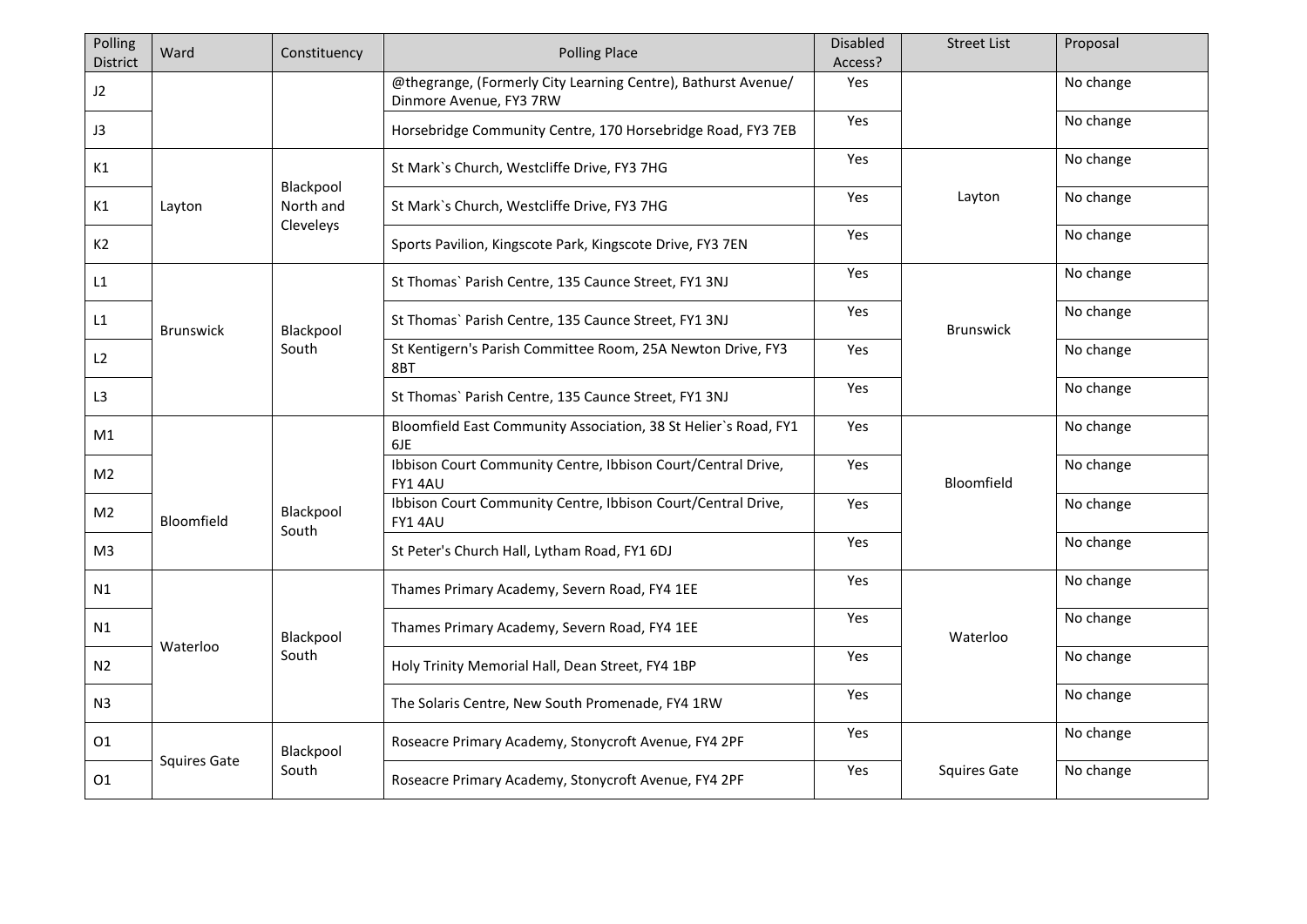| Polling<br><b>District</b> | Ward                | Constituency | <b>Polling Place</b>                                                                     | <b>Disabled</b><br>Access? | <b>Street List</b>  | Proposal  |
|----------------------------|---------------------|--------------|------------------------------------------------------------------------------------------|----------------------------|---------------------|-----------|
| J2                         |                     |              | @thegrange, (Formerly City Learning Centre), Bathurst Avenue/<br>Dinmore Avenue, FY3 7RW | Yes                        |                     | No change |
| J3                         |                     |              | Horsebridge Community Centre, 170 Horsebridge Road, FY3 7EB                              | Yes                        |                     | No change |
| K1                         |                     | Blackpool    | St Mark's Church, Westcliffe Drive, FY3 7HG                                              | Yes                        |                     | No change |
| K1                         | Layton              | North and    | St Mark's Church, Westcliffe Drive, FY3 7HG                                              | Yes                        | Layton              | No change |
| K <sub>2</sub>             |                     | Cleveleys    | Sports Pavilion, Kingscote Park, Kingscote Drive, FY3 7EN                                | <b>Yes</b>                 |                     | No change |
| L1                         |                     |              | St Thomas' Parish Centre, 135 Caunce Street, FY1 3NJ                                     | Yes                        |                     | No change |
| L1                         | <b>Brunswick</b>    | Blackpool    | St Thomas' Parish Centre, 135 Caunce Street, FY1 3NJ                                     | <b>Yes</b>                 | <b>Brunswick</b>    | No change |
| L2                         |                     | South        | St Kentigern's Parish Committee Room, 25A Newton Drive, FY3<br>8BT                       | Yes                        |                     | No change |
| L <sub>3</sub>             |                     |              | St Thomas' Parish Centre, 135 Caunce Street, FY1 3NJ                                     | Yes                        |                     | No change |
| M1                         |                     |              | Bloomfield East Community Association, 38 St Helier's Road, FY1<br>6JE                   | Yes                        |                     | No change |
| M <sub>2</sub>             |                     |              | Ibbison Court Community Centre, Ibbison Court/Central Drive,<br>FY14AU                   | Yes                        | Bloomfield          | No change |
| M <sub>2</sub>             | Bloomfield          | Blackpool    | Ibbison Court Community Centre, Ibbison Court/Central Drive,<br>FY1 4AU                  | <b>Yes</b>                 |                     | No change |
| M <sup>3</sup>             |                     | South        | St Peter's Church Hall, Lytham Road, FY1 6DJ                                             | Yes                        |                     | No change |
| N1                         |                     |              | Thames Primary Academy, Severn Road, FY4 1EE                                             | Yes                        |                     | No change |
| N1                         |                     | Blackpool    | Thames Primary Academy, Severn Road, FY4 1EE                                             | Yes                        | Waterloo            | No change |
| N <sub>2</sub>             | Waterloo            | South        | Holy Trinity Memorial Hall, Dean Street, FY4 1BP                                         | Yes                        |                     | No change |
| N <sub>3</sub>             |                     |              | The Solaris Centre, New South Promenade, FY4 1RW                                         | Yes                        |                     | No change |
| 01                         |                     | Blackpool    | Roseacre Primary Academy, Stonycroft Avenue, FY4 2PF                                     | Yes                        |                     | No change |
| 01                         | <b>Squires Gate</b> | South        | Roseacre Primary Academy, Stonycroft Avenue, FY4 2PF                                     | Yes                        | <b>Squires Gate</b> | No change |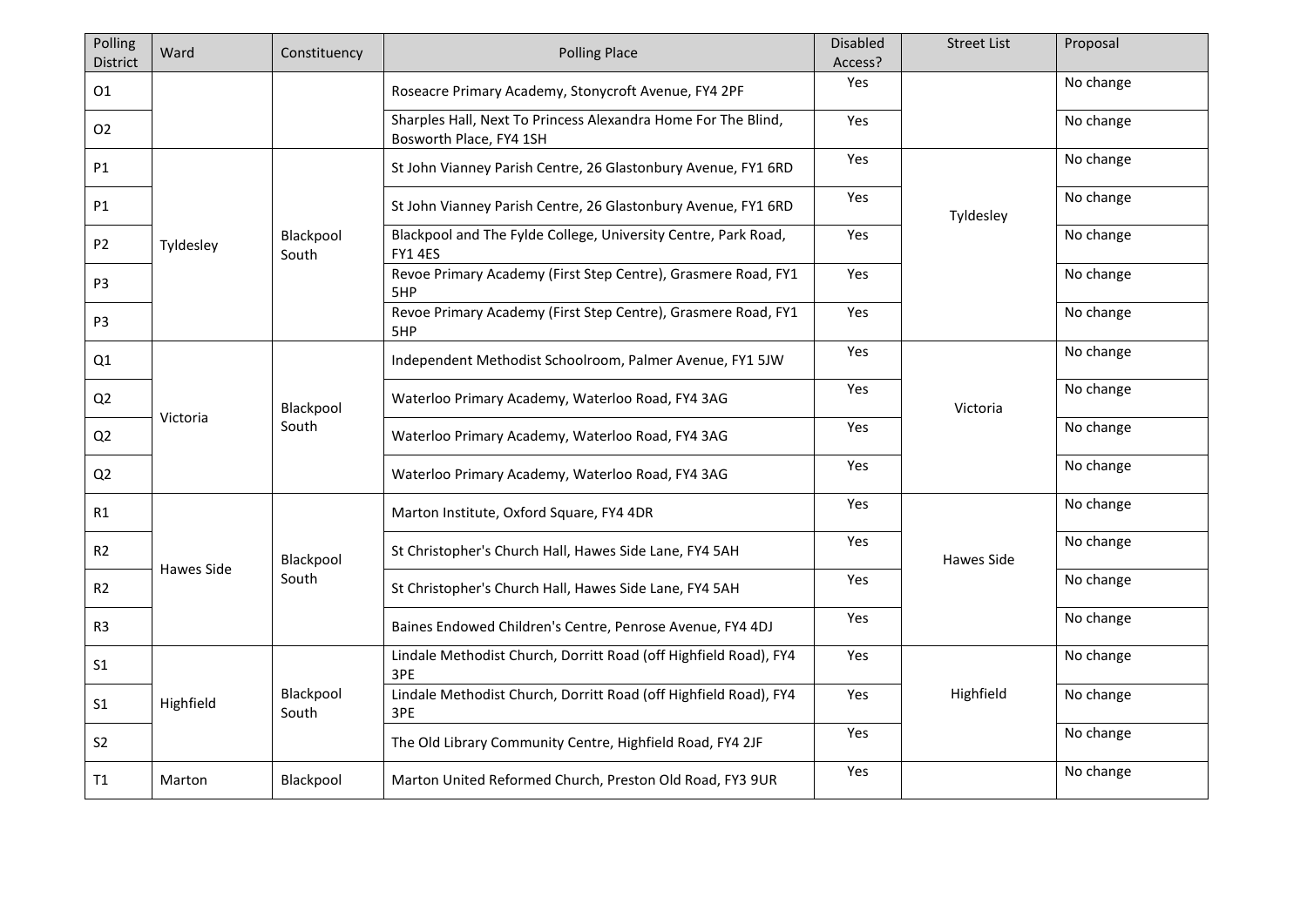| Polling<br>District | Ward              | Constituency       | <b>Polling Place</b>                                                                     | <b>Disabled</b><br>Access? | <b>Street List</b> | Proposal  |
|---------------------|-------------------|--------------------|------------------------------------------------------------------------------------------|----------------------------|--------------------|-----------|
| 01                  |                   |                    | Roseacre Primary Academy, Stonycroft Avenue, FY4 2PF                                     | Yes                        |                    | No change |
| O <sub>2</sub>      |                   |                    | Sharples Hall, Next To Princess Alexandra Home For The Blind,<br>Bosworth Place, FY4 1SH | Yes                        |                    | No change |
| P1                  |                   |                    | St John Vianney Parish Centre, 26 Glastonbury Avenue, FY1 6RD                            | Yes                        |                    | No change |
| P1                  |                   |                    | St John Vianney Parish Centre, 26 Glastonbury Avenue, FY1 6RD                            | Yes                        | Tyldesley          | No change |
| P <sub>2</sub>      | Tyldesley         | Blackpool<br>South | Blackpool and The Fylde College, University Centre, Park Road,<br><b>FY1 4ES</b>         | Yes                        |                    | No change |
| P3                  |                   |                    | Revoe Primary Academy (First Step Centre), Grasmere Road, FY1<br>5HP                     | Yes                        |                    | No change |
| P3                  |                   |                    | Revoe Primary Academy (First Step Centre), Grasmere Road, FY1<br>5HP                     | Yes                        |                    | No change |
| Q1                  |                   | Blackpool<br>South | Independent Methodist Schoolroom, Palmer Avenue, FY1 5JW                                 | Yes                        | Victoria           | No change |
| Q2                  |                   |                    | Waterloo Primary Academy, Waterloo Road, FY4 3AG                                         | Yes                        |                    | No change |
| Q <sub>2</sub>      | Victoria          |                    | Waterloo Primary Academy, Waterloo Road, FY4 3AG                                         | Yes                        |                    | No change |
| Q2                  |                   |                    | Waterloo Primary Academy, Waterloo Road, FY4 3AG                                         | Yes                        |                    | No change |
| R1                  |                   |                    | Marton Institute, Oxford Square, FY4 4DR                                                 | <b>Yes</b>                 |                    | No change |
| R2                  |                   | Blackpool<br>South | St Christopher's Church Hall, Hawes Side Lane, FY4 5AH                                   | <b>Yes</b>                 | Hawes Side         | No change |
| R2                  | <b>Hawes Side</b> |                    | St Christopher's Church Hall, Hawes Side Lane, FY4 5AH                                   | Yes                        |                    | No change |
| R <sub>3</sub>      |                   |                    | Baines Endowed Children's Centre, Penrose Avenue, FY4 4DJ                                | Yes                        |                    | No change |
| S <sub>1</sub>      |                   |                    | Lindale Methodist Church, Dorritt Road (off Highfield Road), FY4<br>3PE                  | Yes                        |                    | No change |
| S <sub>1</sub>      | Highfield         | Blackpool<br>South | Lindale Methodist Church, Dorritt Road (off Highfield Road), FY4<br>3PE                  | Yes                        | Highfield          | No change |
| S <sub>2</sub>      |                   |                    | The Old Library Community Centre, Highfield Road, FY4 2JF                                | Yes                        |                    | No change |
| T1                  | Marton            | Blackpool          | Marton United Reformed Church, Preston Old Road, FY3 9UR                                 | Yes                        |                    | No change |